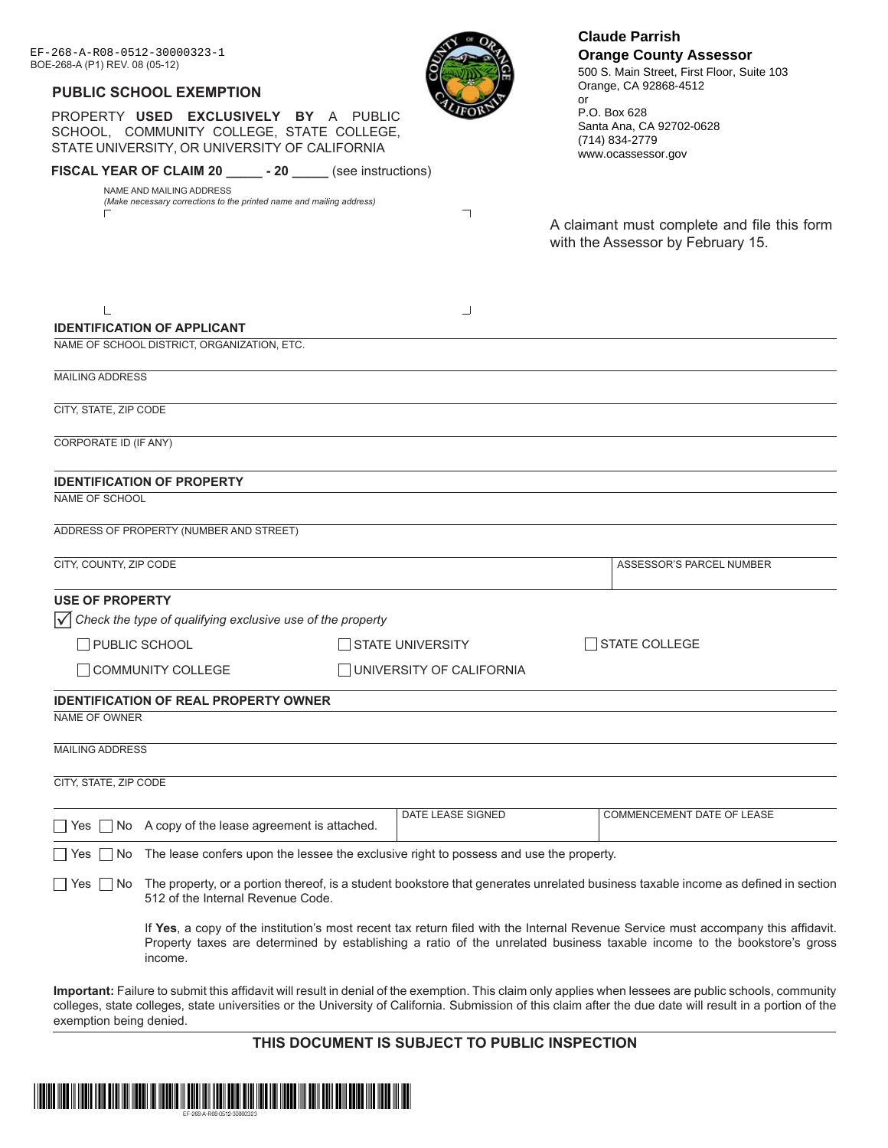| EF-268-A-R08-0512-30000323-1<br>BOE-268-A (P1) REV. 08 (05-12) |                                                                                                                                                                        |  |                          | <b>Claude Parrish</b><br><b>Orange County Assessor</b><br>500 S. Main Street, First Floor, Suite 103                                                                                                                                                                                                                |  |
|----------------------------------------------------------------|------------------------------------------------------------------------------------------------------------------------------------------------------------------------|--|--------------------------|---------------------------------------------------------------------------------------------------------------------------------------------------------------------------------------------------------------------------------------------------------------------------------------------------------------------|--|
|                                                                | <b>PUBLIC SCHOOL EXEMPTION</b>                                                                                                                                         |  |                          | Orange, CA 92868-4512<br>or                                                                                                                                                                                                                                                                                         |  |
|                                                                | PROPERTY USED EXCLUSIVELY BY A PUBLIC<br>SCHOOL, COMMUNITY COLLEGE, STATE COLLEGE,<br>STATE UNIVERSITY, OR UNIVERSITY OF CALIFORNIA                                    |  |                          | P.O. Box 628<br>Santa Ana, CA 92702-0628<br>(714) 834-2779<br>www.ocassessor.gov                                                                                                                                                                                                                                    |  |
|                                                                | FISCAL YEAR OF CLAIM 20 _______ - 20 ______ (see instructions)                                                                                                         |  |                          |                                                                                                                                                                                                                                                                                                                     |  |
|                                                                | NAME AND MAILING ADDRESS<br>(Make necessary corrections to the printed name and mailing address)                                                                       |  |                          |                                                                                                                                                                                                                                                                                                                     |  |
|                                                                |                                                                                                                                                                        |  | ┐                        | A claimant must complete and file this form<br>with the Assessor by February 15.                                                                                                                                                                                                                                    |  |
|                                                                |                                                                                                                                                                        |  | ┘                        |                                                                                                                                                                                                                                                                                                                     |  |
|                                                                | <b>IDENTIFICATION OF APPLICANT</b>                                                                                                                                     |  |                          |                                                                                                                                                                                                                                                                                                                     |  |
|                                                                | NAME OF SCHOOL DISTRICT, ORGANIZATION, ETC.                                                                                                                            |  |                          |                                                                                                                                                                                                                                                                                                                     |  |
| <b>MAILING ADDRESS</b>                                         |                                                                                                                                                                        |  |                          |                                                                                                                                                                                                                                                                                                                     |  |
| CITY, STATE, ZIP CODE                                          |                                                                                                                                                                        |  |                          |                                                                                                                                                                                                                                                                                                                     |  |
| CORPORATE ID (IF ANY)                                          |                                                                                                                                                                        |  |                          |                                                                                                                                                                                                                                                                                                                     |  |
| CITY, COUNTY, ZIP CODE                                         | ADDRESS OF PROPERTY (NUMBER AND STREET)                                                                                                                                |  |                          | ASSESSOR'S PARCEL NUMBER                                                                                                                                                                                                                                                                                            |  |
|                                                                |                                                                                                                                                                        |  |                          |                                                                                                                                                                                                                                                                                                                     |  |
| <b>USE OF PROPERTY</b>                                         | Check the type of qualifying exclusive use of the property                                                                                                             |  |                          |                                                                                                                                                                                                                                                                                                                     |  |
| <b>PUBLIC SCHOOL</b>                                           |                                                                                                                                                                        |  | <b>STATE UNIVERSITY</b>  | ∃STATE COLLEGE                                                                                                                                                                                                                                                                                                      |  |
|                                                                | <b>TCOMMUNITY COLLEGE</b>                                                                                                                                              |  | UNIVERSITY OF CALIFORNIA |                                                                                                                                                                                                                                                                                                                     |  |
| NAME OF OWNER                                                  | <b>IDENTIFICATION OF REAL PROPERTY OWNER</b>                                                                                                                           |  |                          |                                                                                                                                                                                                                                                                                                                     |  |
| <b>MAILING ADDRESS</b>                                         |                                                                                                                                                                        |  |                          |                                                                                                                                                                                                                                                                                                                     |  |
| CITY, STATE, ZIP CODE                                          |                                                                                                                                                                        |  |                          |                                                                                                                                                                                                                                                                                                                     |  |
| Yes                                                            | $\Box$ No A copy of the lease agreement is attached.                                                                                                                   |  | DATE LEASE SIGNED        | COMMENCEMENT DATE OF LEASE                                                                                                                                                                                                                                                                                          |  |
| No<br>Yes                                                      | The lease confers upon the lessee the exclusive right to possess and use the property.                                                                                 |  |                          |                                                                                                                                                                                                                                                                                                                     |  |
| ∏ Yes ∏ No                                                     | The property, or a portion thereof, is a student bookstore that generates unrelated business taxable income as defined in section<br>512 of the Internal Revenue Code. |  |                          |                                                                                                                                                                                                                                                                                                                     |  |
|                                                                | income.                                                                                                                                                                |  |                          | If Yes, a copy of the institution's most recent tax return filed with the Internal Revenue Service must accompany this affidavit.<br>Property taxes are determined by establishing a ratio of the unrelated business taxable income to the bookstore's gross                                                        |  |
| exemption being denied.                                        |                                                                                                                                                                        |  |                          | Important: Failure to submit this affidavit will result in denial of the exemption. This claim only applies when lessees are public schools, community<br>colleges, state colleges, state universities or the University of California. Submission of this claim after the due date will result in a portion of the |  |

# **THIS DOCUMENT IS SUBJECT TO PUBLIC INSPECTION**